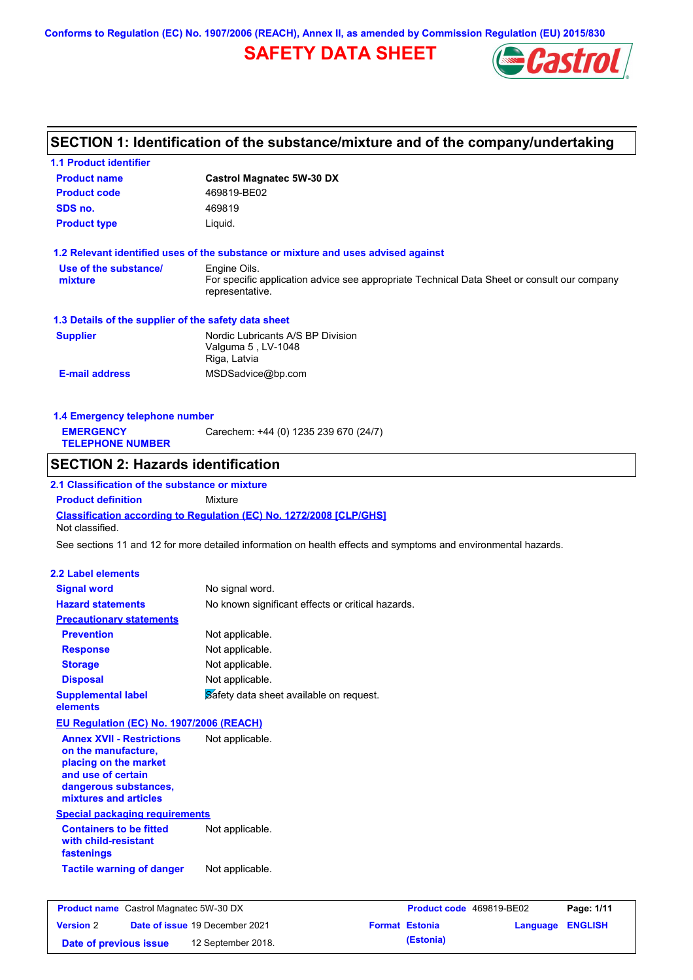**Conforms to Regulation (EC) No. 1907/2006 (REACH), Annex II, as amended by Commission Regulation (EU) 2015/830**

# **SAFETY DATA SHEET**



# **SECTION 1: Identification of the substance/mixture and of the company/undertaking**

| <b>1.1 Product identifier</b>                                     |                                                                                                                |                                                            |
|-------------------------------------------------------------------|----------------------------------------------------------------------------------------------------------------|------------------------------------------------------------|
| <b>Product name</b>                                               | <b>Castrol Magnatec 5W-30 DX</b>                                                                               |                                                            |
| <b>Product code</b>                                               | 469819-BE02                                                                                                    |                                                            |
| SDS no.                                                           | 469819                                                                                                         |                                                            |
| <b>Product type</b>                                               | Liquid.                                                                                                        |                                                            |
|                                                                   | 1.2 Relevant identified uses of the substance or mixture and uses advised against                              |                                                            |
| Use of the substance/                                             | Engine Oils.                                                                                                   |                                                            |
| mixture                                                           | For specific application advice see appropriate Technical Data Sheet or consult our company<br>representative. |                                                            |
| 1.3 Details of the supplier of the safety data sheet              |                                                                                                                |                                                            |
| <b>Supplier</b>                                                   | Nordic Lubricants A/S BP Division                                                                              |                                                            |
|                                                                   | Valguma 5, LV-1048                                                                                             |                                                            |
|                                                                   | Riga, Latvia                                                                                                   |                                                            |
| <b>E-mail address</b>                                             | MSDSadvice@bp.com                                                                                              |                                                            |
| 1.4 Emergency telephone number                                    |                                                                                                                |                                                            |
| <b>EMERGENCY</b>                                                  | Carechem: +44 (0) 1235 239 670 (24/7)                                                                          |                                                            |
| <b>TELEPHONE NUMBER</b>                                           |                                                                                                                |                                                            |
| <b>SECTION 2: Hazards identification</b>                          |                                                                                                                |                                                            |
| 2.1 Classification of the substance or mixture                    |                                                                                                                |                                                            |
| <b>Product definition</b>                                         | Mixture                                                                                                        |                                                            |
| Not classified.                                                   | Classification according to Regulation (EC) No. 1272/2008 [CLP/GHS]                                            |                                                            |
|                                                                   | See sections 11 and 12 for more detailed information on health effects and symptoms and environmental hazards. |                                                            |
| 2.2 Label elements                                                |                                                                                                                |                                                            |
| <b>Signal word</b>                                                | No signal word.                                                                                                |                                                            |
| <b>Hazard statements</b>                                          | No known significant effects or critical hazards.                                                              |                                                            |
| <b>Precautionary statements</b>                                   |                                                                                                                |                                                            |
| <b>Prevention</b>                                                 | Not applicable.                                                                                                |                                                            |
| <b>Response</b>                                                   | Not applicable.                                                                                                |                                                            |
|                                                                   |                                                                                                                |                                                            |
| <b>Storage</b>                                                    | Not applicable.<br>Not applicable.                                                                             |                                                            |
| <b>Disposal</b>                                                   |                                                                                                                |                                                            |
| <b>Supplemental label</b><br>elements                             | Safety data sheet available on request.                                                                        |                                                            |
| EU Regulation (EC) No. 1907/2006 (REACH)                          |                                                                                                                |                                                            |
| <b>Annex XVII - Restrictions</b>                                  | Not applicable.                                                                                                |                                                            |
| on the manufacture,                                               |                                                                                                                |                                                            |
| placing on the market                                             |                                                                                                                |                                                            |
| and use of certain<br>dangerous substances,                       |                                                                                                                |                                                            |
| mixtures and articles                                             |                                                                                                                |                                                            |
| <b>Special packaging requirements</b>                             |                                                                                                                |                                                            |
| <b>Containers to be fitted</b>                                    | Not applicable.                                                                                                |                                                            |
| with child-resistant                                              |                                                                                                                |                                                            |
| fastenings                                                        |                                                                                                                |                                                            |
| <b>Tactile warning of danger</b>                                  | Not applicable.                                                                                                |                                                            |
|                                                                   |                                                                                                                |                                                            |
| <b>Product name</b> Castrol Magnatec 5W-30 DX<br><b>Version 2</b> | Date of issue 19 December 2021<br><b>Format Estonia</b>                                                        | Product code 469819-BE02<br>Page: 1/11<br>Language ENGLISH |
|                                                                   |                                                                                                                |                                                            |

**Date of previous issue (Estonia)** 12 September 2018.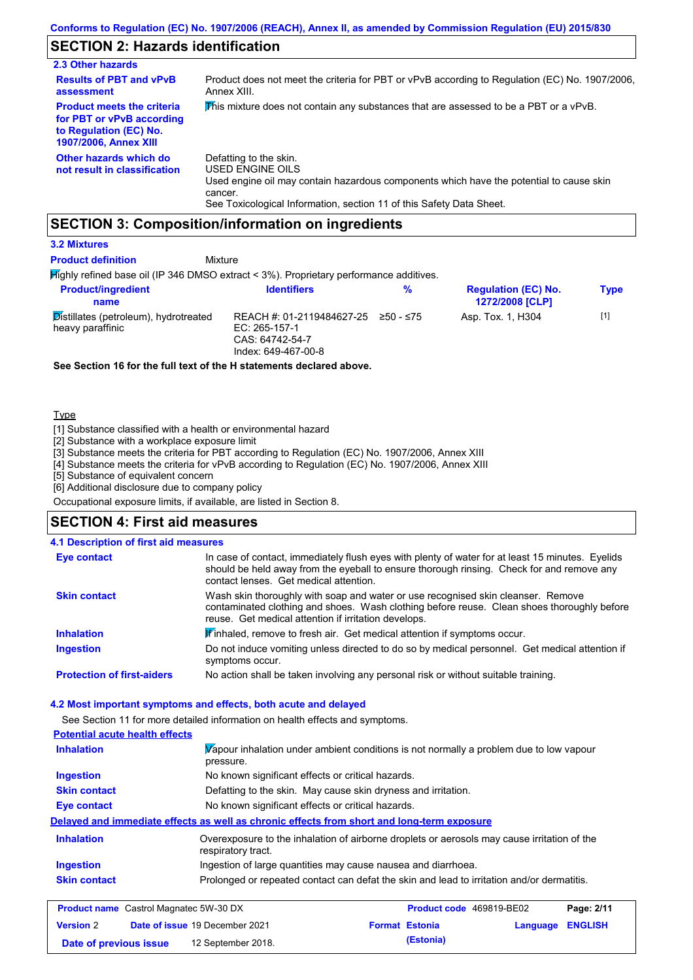# **SECTION 2: Hazards identification**

| 2.3 Other hazards                                                                                                        |                                                                                                                                                                                                                          |
|--------------------------------------------------------------------------------------------------------------------------|--------------------------------------------------------------------------------------------------------------------------------------------------------------------------------------------------------------------------|
| <b>Results of PBT and vPvB</b><br>assessment                                                                             | Product does not meet the criteria for PBT or vPvB according to Regulation (EC) No. 1907/2006,<br>Annex XIII.                                                                                                            |
| <b>Product meets the criteria</b><br>for PBT or vPvB according<br>to Regulation (EC) No.<br><b>1907/2006, Annex XIII</b> | This mixture does not contain any substances that are assessed to be a PBT or a vPvB.                                                                                                                                    |
| Other hazards which do<br>not result in classification                                                                   | Defatting to the skin.<br>USED ENGINE OILS<br>Used engine oil may contain hazardous components which have the potential to cause skin<br>cancer.<br>See Toxicological Information, section 11 of this Safety Data Sheet. |

### **SECTION 3: Composition/information on ingredients**

### **3.2 Mixtures**

**Product definition**

### Mixture

Highly refined base oil (IP 346 DMSO extract < 3%). Proprietary performance additives.

| <b>Product/ingredient</b><br>name                         | <b>Identifiers</b>                                                                                         | % | <b>Regulation (EC) No.</b><br><b>1272/2008 [CLP]</b> | <b>Type</b> |
|-----------------------------------------------------------|------------------------------------------------------------------------------------------------------------|---|------------------------------------------------------|-------------|
| Distillates (petroleum), hydrotreated<br>heavy paraffinic | REACH #: 01-2119484627-25 $\geq$ 50 - $\leq$ 75<br>EC: 265-157-1<br>CAS: 64742-54-7<br>Index: 649-467-00-8 |   | Asp. Tox. 1, H304                                    | $[1]$       |

**See Section 16 for the full text of the H statements declared above.**

**Type** 

[1] Substance classified with a health or environmental hazard

[2] Substance with a workplace exposure limit

[3] Substance meets the criteria for PBT according to Regulation (EC) No. 1907/2006, Annex XIII

[4] Substance meets the criteria for vPvB according to Regulation (EC) No. 1907/2006, Annex XIII

[5] Substance of equivalent concern

[6] Additional disclosure due to company policy

Occupational exposure limits, if available, are listed in Section 8.

### **SECTION 4: First aid measures**

| 4.1 Description of first aid measures                                             |                                                                                                                   |                                                                                                                                                                                                                                        |                          |          |                |
|-----------------------------------------------------------------------------------|-------------------------------------------------------------------------------------------------------------------|----------------------------------------------------------------------------------------------------------------------------------------------------------------------------------------------------------------------------------------|--------------------------|----------|----------------|
| <b>Eye contact</b>                                                                | contact lenses. Get medical attention.                                                                            | In case of contact, immediately flush eyes with plenty of water for at least 15 minutes. Eyelids<br>should be held away from the eyeball to ensure thorough rinsing. Check for and remove any                                          |                          |          |                |
| <b>Skin contact</b>                                                               |                                                                                                                   | Wash skin thoroughly with soap and water or use recognised skin cleanser. Remove<br>contaminated clothing and shoes. Wash clothing before reuse. Clean shoes thoroughly before<br>reuse. Get medical attention if irritation develops. |                          |          |                |
| <b>Inhalation</b>                                                                 | Winhaled, remove to fresh air. Get medical attention if symptoms occur.                                           |                                                                                                                                                                                                                                        |                          |          |                |
| <b>Ingestion</b>                                                                  | symptoms occur.                                                                                                   | Do not induce vomiting unless directed to do so by medical personnel. Get medical attention if                                                                                                                                         |                          |          |                |
| <b>Protection of first-aiders</b>                                                 | No action shall be taken involving any personal risk or without suitable training.                                |                                                                                                                                                                                                                                        |                          |          |                |
|                                                                                   | 4.2 Most important symptoms and effects, both acute and delayed                                                   |                                                                                                                                                                                                                                        |                          |          |                |
|                                                                                   | See Section 11 for more detailed information on health effects and symptoms.                                      |                                                                                                                                                                                                                                        |                          |          |                |
| <b>Potential acute health effects</b>                                             |                                                                                                                   |                                                                                                                                                                                                                                        |                          |          |                |
| <b>Inhalation</b>                                                                 | Vapour inhalation under ambient conditions is not normally a problem due to low vapour<br>pressure.               |                                                                                                                                                                                                                                        |                          |          |                |
| <b>Ingestion</b>                                                                  | No known significant effects or critical hazards.                                                                 |                                                                                                                                                                                                                                        |                          |          |                |
| <b>Skin contact</b>                                                               | Defatting to the skin. May cause skin dryness and irritation.                                                     |                                                                                                                                                                                                                                        |                          |          |                |
| <b>Eye contact</b>                                                                | No known significant effects or critical hazards.                                                                 |                                                                                                                                                                                                                                        |                          |          |                |
|                                                                                   | Delayed and immediate effects as well as chronic effects from short and long-term exposure                        |                                                                                                                                                                                                                                        |                          |          |                |
| <b>Inhalation</b>                                                                 | Overexposure to the inhalation of airborne droplets or aerosols may cause irritation of the<br>respiratory tract. |                                                                                                                                                                                                                                        |                          |          |                |
| <b>Ingestion</b><br>Ingestion of large quantities may cause nausea and diarrhoea. |                                                                                                                   |                                                                                                                                                                                                                                        |                          |          |                |
| <b>Skin contact</b>                                                               | Prolonged or repeated contact can defat the skin and lead to irritation and/or dermatitis.                        |                                                                                                                                                                                                                                        |                          |          |                |
| <b>Product name</b> Castrol Magnatec 5W-30 DX                                     |                                                                                                                   |                                                                                                                                                                                                                                        | Product code 469819-BE02 |          | Page: 2/11     |
| <b>Version 2</b>                                                                  | Date of issue 19 December 2021                                                                                    | <b>Format Estonia</b>                                                                                                                                                                                                                  |                          | Language | <b>ENGLISH</b> |
| Date of previous issue                                                            | 12 September 2018.                                                                                                |                                                                                                                                                                                                                                        | (Estonia)                |          |                |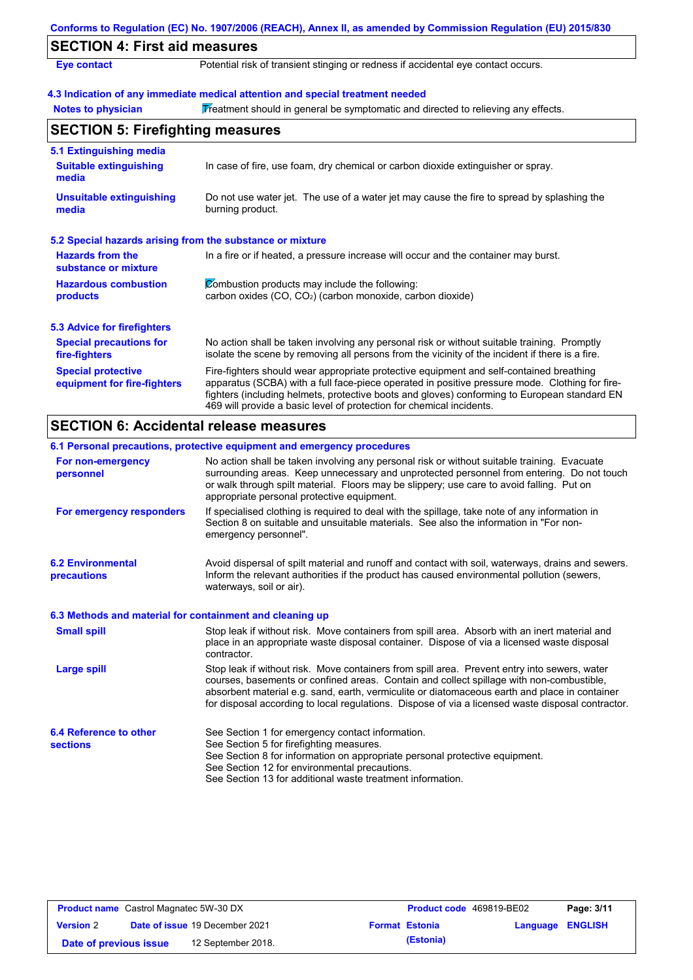| Conforms to Regulation (EC) No. 1907/2006 (REACH), Annex II, as amended by Commission Regulation (EU) 2015/830 |                                                                                                                                                                                                                                                                                                                                                                   |  |  |
|----------------------------------------------------------------------------------------------------------------|-------------------------------------------------------------------------------------------------------------------------------------------------------------------------------------------------------------------------------------------------------------------------------------------------------------------------------------------------------------------|--|--|
| <b>SECTION 4: First aid measures</b>                                                                           |                                                                                                                                                                                                                                                                                                                                                                   |  |  |
| <b>Eye contact</b>                                                                                             | Potential risk of transient stinging or redness if accidental eye contact occurs.                                                                                                                                                                                                                                                                                 |  |  |
|                                                                                                                | 4.3 Indication of any immediate medical attention and special treatment needed                                                                                                                                                                                                                                                                                    |  |  |
| <b>Notes to physician</b>                                                                                      | Treatment should in general be symptomatic and directed to relieving any effects.                                                                                                                                                                                                                                                                                 |  |  |
| <b>SECTION 5: Firefighting measures</b>                                                                        |                                                                                                                                                                                                                                                                                                                                                                   |  |  |
| 5.1 Extinguishing media                                                                                        |                                                                                                                                                                                                                                                                                                                                                                   |  |  |
| <b>Suitable extinguishing</b><br>media                                                                         | In case of fire, use foam, dry chemical or carbon dioxide extinguisher or spray.                                                                                                                                                                                                                                                                                  |  |  |
| <b>Unsuitable extinguishing</b><br>media                                                                       | Do not use water jet. The use of a water jet may cause the fire to spread by splashing the<br>burning product.                                                                                                                                                                                                                                                    |  |  |
| 5.2 Special hazards arising from the substance or mixture                                                      |                                                                                                                                                                                                                                                                                                                                                                   |  |  |
| <b>Hazards from the</b><br>substance or mixture                                                                | In a fire or if heated, a pressure increase will occur and the container may burst.                                                                                                                                                                                                                                                                               |  |  |
| <b>Hazardous combustion</b><br>products                                                                        | Combustion products may include the following:<br>carbon oxides (CO, CO <sub>2</sub> ) (carbon monoxide, carbon dioxide)                                                                                                                                                                                                                                          |  |  |
| <b>5.3 Advice for firefighters</b>                                                                             |                                                                                                                                                                                                                                                                                                                                                                   |  |  |
| <b>Special precautions for</b><br>fire-fighters                                                                | No action shall be taken involving any personal risk or without suitable training. Promptly<br>isolate the scene by removing all persons from the vicinity of the incident if there is a fire.                                                                                                                                                                    |  |  |
| <b>Special protective</b><br>equipment for fire-fighters                                                       | Fire-fighters should wear appropriate protective equipment and self-contained breathing<br>apparatus (SCBA) with a full face-piece operated in positive pressure mode. Clothing for fire-<br>fighters (including helmets, protective boots and gloves) conforming to European standard EN<br>469 will provide a basic level of protection for chemical incidents. |  |  |

# **SECTION 6: Accidental release measures**

|                                                          | 6.1 Personal precautions, protective equipment and emergency procedures                                                                                                                                                                                                                                                                                                                        |  |  |
|----------------------------------------------------------|------------------------------------------------------------------------------------------------------------------------------------------------------------------------------------------------------------------------------------------------------------------------------------------------------------------------------------------------------------------------------------------------|--|--|
| For non-emergency<br>personnel                           | No action shall be taken involving any personal risk or without suitable training. Evacuate<br>surrounding areas. Keep unnecessary and unprotected personnel from entering. Do not touch<br>or walk through spilt material. Floors may be slippery; use care to avoid falling. Put on<br>appropriate personal protective equipment.                                                            |  |  |
| For emergency responders                                 | If specialised clothing is required to deal with the spillage, take note of any information in<br>Section 8 on suitable and unsuitable materials. See also the information in "For non-<br>emergency personnel".                                                                                                                                                                               |  |  |
| <b>6.2 Environmental</b><br>precautions                  | Avoid dispersal of spilt material and runoff and contact with soil, waterways, drains and sewers.<br>Inform the relevant authorities if the product has caused environmental pollution (sewers,<br>waterways, soil or air).                                                                                                                                                                    |  |  |
| 6.3 Methods and material for containment and cleaning up |                                                                                                                                                                                                                                                                                                                                                                                                |  |  |
| <b>Small spill</b>                                       | Stop leak if without risk. Move containers from spill area. Absorb with an inert material and<br>place in an appropriate waste disposal container. Dispose of via a licensed waste disposal<br>contractor.                                                                                                                                                                                     |  |  |
| <b>Large spill</b>                                       | Stop leak if without risk. Move containers from spill area. Prevent entry into sewers, water<br>courses, basements or confined areas. Contain and collect spillage with non-combustible,<br>absorbent material e.g. sand, earth, vermiculite or diatomaceous earth and place in container<br>for disposal according to local regulations. Dispose of via a licensed waste disposal contractor. |  |  |
| 6.4 Reference to other<br><b>sections</b>                | See Section 1 for emergency contact information.<br>See Section 5 for firefighting measures.<br>See Section 8 for information on appropriate personal protective equipment.<br>See Section 12 for environmental precautions.<br>See Section 13 for additional waste treatment information.                                                                                                     |  |  |

| <b>Product name</b> Castrol Magnatec 5W-30 DX |  |                                       | Product code 469819-BE02 |                       | Page: 3/11              |  |
|-----------------------------------------------|--|---------------------------------------|--------------------------|-----------------------|-------------------------|--|
| <b>Version 2</b>                              |  | <b>Date of issue 19 December 2021</b> |                          | <b>Format Estonia</b> | <b>Language ENGLISH</b> |  |
| Date of previous issue                        |  | 12 September 2018.                    |                          | (Estonia)             |                         |  |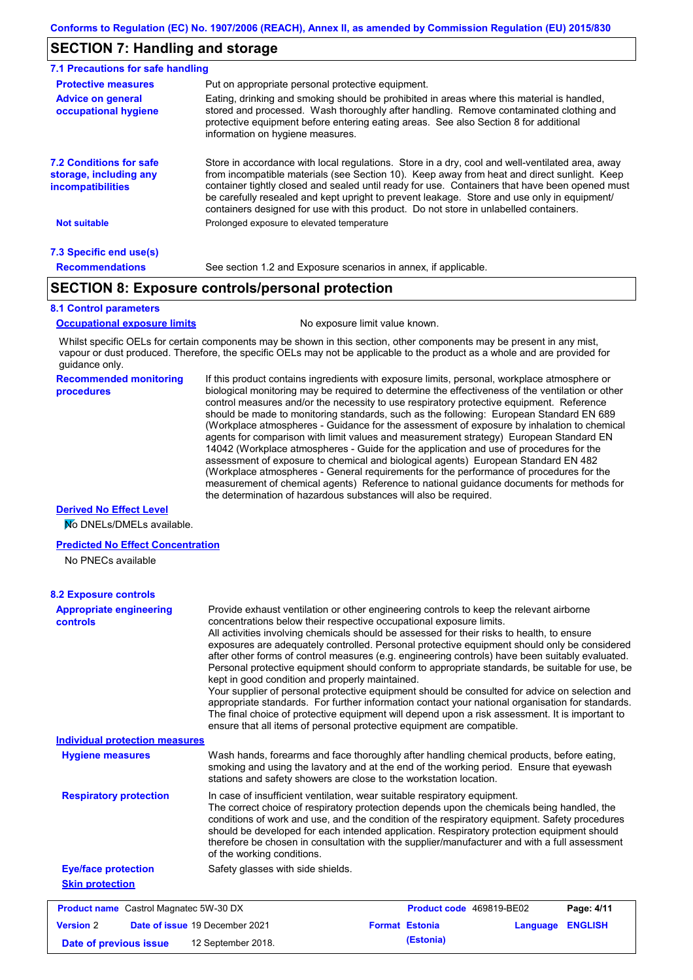## **SECTION 7: Handling and storage**

| 7.1 Precautions for safe handling                                                                                                                                                                                                                                                                                                                                    |                                                                                                                                                                                                                                                                                                                                                                                                                                                                                          |  |  |
|----------------------------------------------------------------------------------------------------------------------------------------------------------------------------------------------------------------------------------------------------------------------------------------------------------------------------------------------------------------------|------------------------------------------------------------------------------------------------------------------------------------------------------------------------------------------------------------------------------------------------------------------------------------------------------------------------------------------------------------------------------------------------------------------------------------------------------------------------------------------|--|--|
| <b>Protective measures</b>                                                                                                                                                                                                                                                                                                                                           | Put on appropriate personal protective equipment.                                                                                                                                                                                                                                                                                                                                                                                                                                        |  |  |
| Eating, drinking and smoking should be prohibited in areas where this material is handled,<br><b>Advice on general</b><br>stored and processed. Wash thoroughly after handling. Remove contaminated clothing and<br>occupational hygiene<br>protective equipment before entering eating areas. See also Section 8 for additional<br>information on hygiene measures. |                                                                                                                                                                                                                                                                                                                                                                                                                                                                                          |  |  |
| <b>7.2 Conditions for safe</b><br>storage, including any<br>incompatibilities                                                                                                                                                                                                                                                                                        | Store in accordance with local requlations. Store in a dry, cool and well-ventilated area, away<br>from incompatible materials (see Section 10). Keep away from heat and direct sunlight. Keep<br>container tightly closed and sealed until ready for use. Containers that have been opened must<br>be carefully resealed and kept upright to prevent leakage. Store and use only in equipment/<br>containers designed for use with this product. Do not store in unlabelled containers. |  |  |
| <b>Not suitable</b>                                                                                                                                                                                                                                                                                                                                                  | Prolonged exposure to elevated temperature                                                                                                                                                                                                                                                                                                                                                                                                                                               |  |  |
| 7.3 Specific end use(s)                                                                                                                                                                                                                                                                                                                                              |                                                                                                                                                                                                                                                                                                                                                                                                                                                                                          |  |  |
| <b>Recommendations</b>                                                                                                                                                                                                                                                                                                                                               | See section 1.2 and Exposure scenarios in annex, if applicable.                                                                                                                                                                                                                                                                                                                                                                                                                          |  |  |

### **SECTION 8: Exposure controls/personal protection**

#### **8.1 Control parameters**

**Occupational exposure limits** No exposure limit value known.

Whilst specific OELs for certain components may be shown in this section, other components may be present in any mist, vapour or dust produced. Therefore, the specific OELs may not be applicable to the product as a whole and are provided for guidance only.

#### **Recommended monitoring procedures**

If this product contains ingredients with exposure limits, personal, workplace atmosphere or biological monitoring may be required to determine the effectiveness of the ventilation or other control measures and/or the necessity to use respiratory protective equipment. Reference should be made to monitoring standards, such as the following: European Standard EN 689 (Workplace atmospheres - Guidance for the assessment of exposure by inhalation to chemical agents for comparison with limit values and measurement strategy) European Standard EN 14042 (Workplace atmospheres - Guide for the application and use of procedures for the assessment of exposure to chemical and biological agents) European Standard EN 482 (Workplace atmospheres - General requirements for the performance of procedures for the measurement of chemical agents) Reference to national guidance documents for methods for the determination of hazardous substances will also be required.

### **Derived No Effect Level**

No DNELs/DMELs available.

#### **Predicted No Effect Concentration**

No PNECs available

| <b>Appropriate engineering</b><br>controls    | Provide exhaust ventilation or other engineering controls to keep the relevant airborne<br>concentrations below their respective occupational exposure limits.<br>All activities involving chemicals should be assessed for their risks to health, to ensure                                                                                                                                                                                                                                                                                                                                                                                                                                                                            |                          |            |
|-----------------------------------------------|-----------------------------------------------------------------------------------------------------------------------------------------------------------------------------------------------------------------------------------------------------------------------------------------------------------------------------------------------------------------------------------------------------------------------------------------------------------------------------------------------------------------------------------------------------------------------------------------------------------------------------------------------------------------------------------------------------------------------------------------|--------------------------|------------|
|                                               | exposures are adequately controlled. Personal protective equipment should only be considered<br>after other forms of control measures (e.g. engineering controls) have been suitably evaluated.<br>Personal protective equipment should conform to appropriate standards, be suitable for use, be<br>kept in good condition and properly maintained.<br>Your supplier of personal protective equipment should be consulted for advice on selection and<br>appropriate standards. For further information contact your national organisation for standards.<br>The final choice of protective equipment will depend upon a risk assessment. It is important to<br>ensure that all items of personal protective equipment are compatible. |                          |            |
| <b>Individual protection measures</b>         |                                                                                                                                                                                                                                                                                                                                                                                                                                                                                                                                                                                                                                                                                                                                         |                          |            |
| <b>Hygiene measures</b>                       | Wash hands, forearms and face thoroughly after handling chemical products, before eating,<br>smoking and using the lavatory and at the end of the working period. Ensure that eyewash<br>stations and safety showers are close to the workstation location.                                                                                                                                                                                                                                                                                                                                                                                                                                                                             |                          |            |
| <b>Respiratory protection</b>                 | In case of insufficient ventilation, wear suitable respiratory equipment.<br>The correct choice of respiratory protection depends upon the chemicals being handled, the<br>conditions of work and use, and the condition of the respiratory equipment. Safety procedures<br>should be developed for each intended application. Respiratory protection equipment should<br>therefore be chosen in consultation with the supplier/manufacturer and with a full assessment<br>of the working conditions.                                                                                                                                                                                                                                   |                          |            |
| <b>Eye/face protection</b>                    | Safety glasses with side shields.                                                                                                                                                                                                                                                                                                                                                                                                                                                                                                                                                                                                                                                                                                       |                          |            |
| <b>Skin protection</b>                        |                                                                                                                                                                                                                                                                                                                                                                                                                                                                                                                                                                                                                                                                                                                                         |                          |            |
| <b>Product name</b> Castrol Magnatec 5W-30 DX |                                                                                                                                                                                                                                                                                                                                                                                                                                                                                                                                                                                                                                                                                                                                         | Product code 469819-BE02 | Page: 4/11 |
|                                               |                                                                                                                                                                                                                                                                                                                                                                                                                                                                                                                                                                                                                                                                                                                                         |                          |            |

**Date of previous issue (Estonia)** 12 September 2018.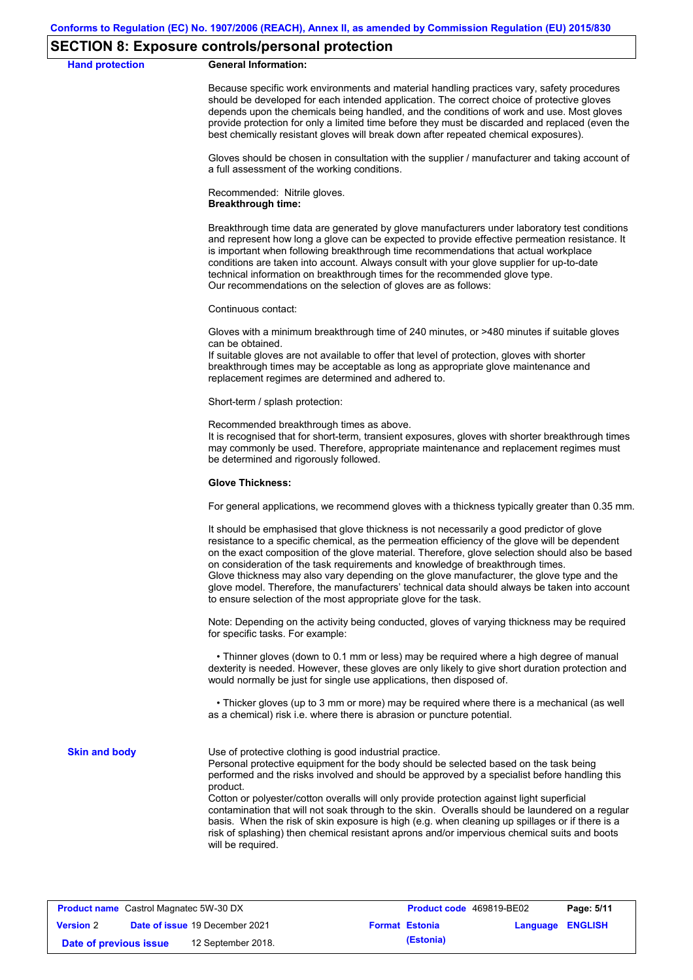### **SECTION 8: Exposure controls/personal protection**

**Hand protection** 

|  | <b>General Information:</b> |
|--|-----------------------------|
|--|-----------------------------|

Because specific work environments and material handling practices vary, safety procedures should be developed for each intended application. The correct choice of protective gloves depends upon the chemicals being handled, and the conditions of work and use. Most gloves provide protection for only a limited time before they must be discarded and replaced (even the best chemically resistant gloves will break down after repeated chemical exposures).

Gloves should be chosen in consultation with the supplier / manufacturer and taking account of a full assessment of the working conditions.

Recommended: Nitrile gloves. **Breakthrough time:**

Breakthrough time data are generated by glove manufacturers under laboratory test conditions and represent how long a glove can be expected to provide effective permeation resistance. It is important when following breakthrough time recommendations that actual workplace conditions are taken into account. Always consult with your glove supplier for up-to-date technical information on breakthrough times for the recommended glove type. Our recommendations on the selection of gloves are as follows:

Continuous contact:

Gloves with a minimum breakthrough time of 240 minutes, or >480 minutes if suitable gloves can be obtained.

If suitable gloves are not available to offer that level of protection, gloves with shorter breakthrough times may be acceptable as long as appropriate glove maintenance and replacement regimes are determined and adhered to.

Short-term / splash protection:

Recommended breakthrough times as above.

It is recognised that for short-term, transient exposures, gloves with shorter breakthrough times may commonly be used. Therefore, appropriate maintenance and replacement regimes must be determined and rigorously followed.

#### **Glove Thickness:**

For general applications, we recommend gloves with a thickness typically greater than 0.35 mm.

It should be emphasised that glove thickness is not necessarily a good predictor of glove resistance to a specific chemical, as the permeation efficiency of the glove will be dependent on the exact composition of the glove material. Therefore, glove selection should also be based on consideration of the task requirements and knowledge of breakthrough times. Glove thickness may also vary depending on the glove manufacturer, the glove type and the glove model. Therefore, the manufacturers' technical data should always be taken into account to ensure selection of the most appropriate glove for the task.

Note: Depending on the activity being conducted, gloves of varying thickness may be required for specific tasks. For example:

 • Thinner gloves (down to 0.1 mm or less) may be required where a high degree of manual dexterity is needed. However, these gloves are only likely to give short duration protection and would normally be just for single use applications, then disposed of.

 • Thicker gloves (up to 3 mm or more) may be required where there is a mechanical (as well as a chemical) risk i.e. where there is abrasion or puncture potential.

**Skin and body**

Use of protective clothing is good industrial practice.

Personal protective equipment for the body should be selected based on the task being performed and the risks involved and should be approved by a specialist before handling this product.

Cotton or polyester/cotton overalls will only provide protection against light superficial contamination that will not soak through to the skin. Overalls should be laundered on a regular basis. When the risk of skin exposure is high (e.g. when cleaning up spillages or if there is a risk of splashing) then chemical resistant aprons and/or impervious chemical suits and boots will be required.

| <b>Product name</b> Castrol Magnatec 5W-30 DX |  | <b>Product code</b> 469819-BE02       |  | Page: 5/11            |                         |  |
|-----------------------------------------------|--|---------------------------------------|--|-----------------------|-------------------------|--|
| <b>Version 2</b>                              |  | <b>Date of issue 19 December 2021</b> |  | <b>Format Estonia</b> | <b>Language ENGLISH</b> |  |
| Date of previous issue                        |  | 12 September 2018.                    |  | (Estonia)             |                         |  |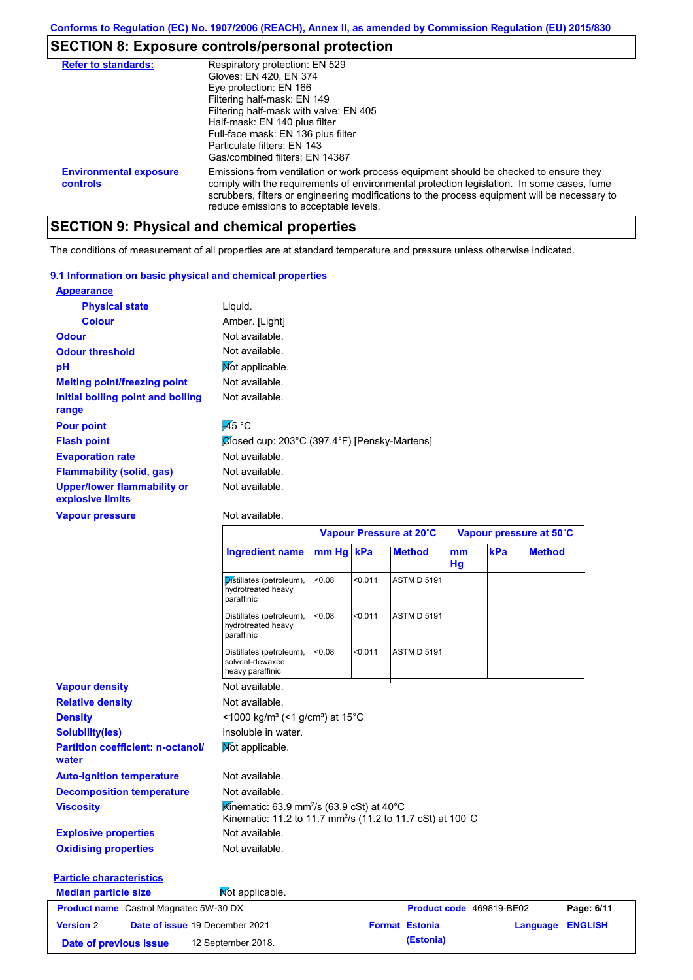# **SECTION 8: Exposure controls/personal protection**

| <b>Refer to standards:</b>                | Respiratory protection: EN 529<br>Gloves: EN 420, EN 374<br>Eye protection: EN 166<br>Filtering half-mask: EN 149<br>Filtering half-mask with valve: EN 405<br>Half-mask: EN 140 plus filter<br>Full-face mask: EN 136 plus filter<br>Particulate filters: EN 143<br>Gas/combined filters: EN 14387                           |
|-------------------------------------------|-------------------------------------------------------------------------------------------------------------------------------------------------------------------------------------------------------------------------------------------------------------------------------------------------------------------------------|
| <b>Environmental exposure</b><br>controls | Emissions from ventilation or work process equipment should be checked to ensure they<br>comply with the requirements of environmental protection legislation. In some cases, fume<br>scrubbers, filters or engineering modifications to the process equipment will be necessary to<br>reduce emissions to acceptable levels. |

# **SECTION 9: Physical and chemical properties**

The conditions of measurement of all properties are at standard temperature and pressure unless otherwise indicated.

### **9.1 Information on basic physical and chemical properties**

| <b>Appearance</b>                                      |                                              |
|--------------------------------------------------------|----------------------------------------------|
| <b>Physical state</b>                                  | Liquid.                                      |
| <b>Colour</b>                                          | Amber. [Light]                               |
| <b>Odour</b>                                           | Not available.                               |
| <b>Odour threshold</b>                                 | Not available.                               |
| рH                                                     | Mot applicable.                              |
| <b>Melting point/freezing point</b>                    | Not available.                               |
| Initial boiling point and boiling                      | Not available.                               |
| range                                                  |                                              |
| <b>Pour point</b>                                      | $\overline{45}$ °C                           |
| <b>Flash point</b>                                     | Ølosed cup: 203°C (397.4°F) [Pensky-Martens] |
| <b>Evaporation rate</b>                                | Not available.                               |
| <b>Flammability (solid, gas)</b>                       | Not available.                               |
| <b>Upper/lower flammability or</b><br>explosive limits | Not available.                               |
| <b>Vapour pressure</b>                                 | Not available.                               |

### Not available.

|                                                   |                                                                                                                                            | Vapour Pressure at 20°C |         |                          | Vapour pressure at 50°C |     |               |
|---------------------------------------------------|--------------------------------------------------------------------------------------------------------------------------------------------|-------------------------|---------|--------------------------|-------------------------|-----|---------------|
|                                                   | Ingredient name mm Hg kPa                                                                                                                  |                         |         | <b>Method</b>            | m <sub>m</sub><br>Hg    | kPa | <b>Method</b> |
|                                                   | Distillates (petroleum),<br>hydrotreated heavy<br>paraffinic                                                                               | < 0.08                  | < 0.011 | <b>ASTM D 5191</b>       |                         |     |               |
|                                                   | Distillates (petroleum),<br>hydrotreated heavy<br>paraffinic                                                                               | < 0.08                  | < 0.011 | <b>ASTM D 5191</b>       |                         |     |               |
|                                                   | Distillates (petroleum),<br>solvent-dewaxed<br>heavy paraffinic                                                                            | < 0.08                  | < 0.011 | <b>ASTM D 5191</b>       |                         |     |               |
| <b>Vapour density</b>                             | Not available.                                                                                                                             |                         |         |                          |                         |     |               |
| <b>Relative density</b>                           | Not available.                                                                                                                             |                         |         |                          |                         |     |               |
| <b>Density</b>                                    | <1000 kg/m <sup>3</sup> (<1 g/cm <sup>3</sup> ) at 15 <sup>°</sup> C                                                                       |                         |         |                          |                         |     |               |
| <b>Solubility(ies)</b>                            | insoluble in water.                                                                                                                        |                         |         |                          |                         |     |               |
| <b>Partition coefficient: n-octanol/</b><br>water | Mot applicable.                                                                                                                            |                         |         |                          |                         |     |               |
| <b>Auto-ignition temperature</b>                  | Not available.                                                                                                                             |                         |         |                          |                         |     |               |
| <b>Decomposition temperature</b>                  | Not available.                                                                                                                             |                         |         |                          |                         |     |               |
| <b>Viscosity</b>                                  | Kinematic: 63.9 mm <sup>2</sup> /s (63.9 cSt) at 40 $^{\circ}$ C<br>Kinematic: 11.2 to 11.7 mm <sup>2</sup> /s (11.2 to 11.7 cSt) at 100°C |                         |         |                          |                         |     |               |
| <b>Explosive properties</b>                       | Not available.                                                                                                                             |                         |         |                          |                         |     |               |
| <b>Oxidising properties</b>                       | Not available.                                                                                                                             |                         |         |                          |                         |     |               |
| <b>Particle characteristics</b>                   |                                                                                                                                            |                         |         |                          |                         |     |               |
| <b>Median particle size</b>                       | Not applicable.                                                                                                                            |                         |         |                          |                         |     |               |
| <b>Product name</b> Castrol Magnatec 5W-30 DX     |                                                                                                                                            |                         |         | Product code 469819-BE02 |                         |     | Page: 6/11    |

| <b>Product name</b> Castrol Magnatec 5W-30 DX |                                | <b>Product code</b> 469819-BE02 |                  | Page: 6/11 |
|-----------------------------------------------|--------------------------------|---------------------------------|------------------|------------|
| <b>Version 2</b>                              | Date of issue 19 December 2021 | <b>Format Estonia</b>           | Language ENGLISH |            |
| Date of previous issue                        | 12 September 2018.             | (Estonia)                       |                  |            |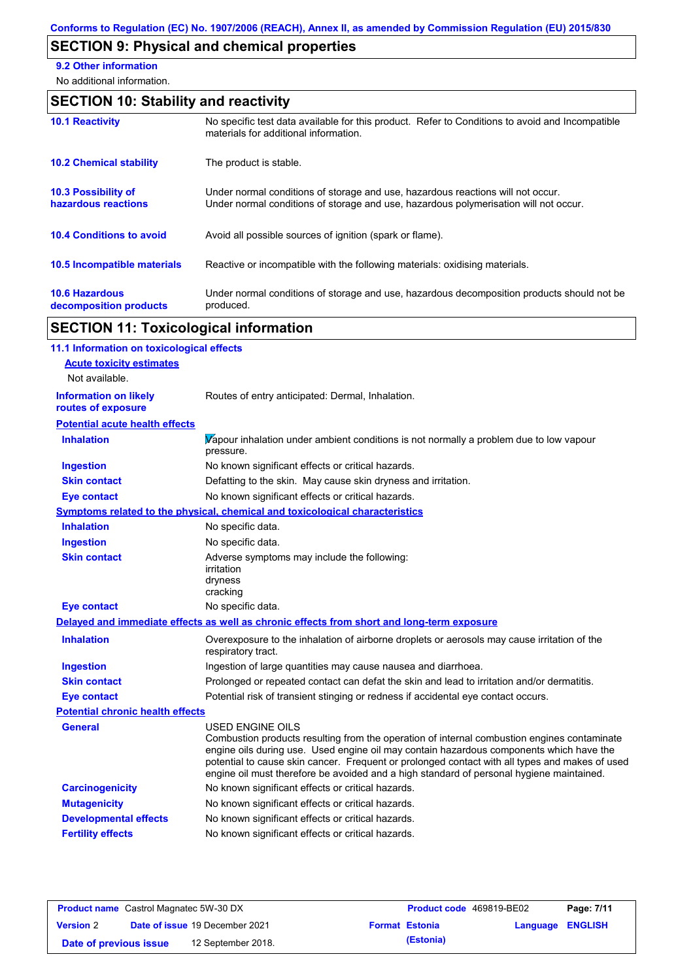# **SECTION 9: Physical and chemical properties**

**9.2 Other information**

No additional information.

# **SECTION 10: Stability and reactivity**

| <b>10.1 Reactivity</b>                            | No specific test data available for this product. Refer to Conditions to avoid and Incompatible<br>materials for additional information.                                |
|---------------------------------------------------|-------------------------------------------------------------------------------------------------------------------------------------------------------------------------|
| <b>10.2 Chemical stability</b>                    | The product is stable.                                                                                                                                                  |
| <b>10.3 Possibility of</b><br>hazardous reactions | Under normal conditions of storage and use, hazardous reactions will not occur.<br>Under normal conditions of storage and use, hazardous polymerisation will not occur. |
| <b>10.4 Conditions to avoid</b>                   | Avoid all possible sources of ignition (spark or flame).                                                                                                                |
| <b>10.5 Incompatible materials</b>                | Reactive or incompatible with the following materials: oxidising materials.                                                                                             |
| <b>10.6 Hazardous</b><br>decomposition products   | Under normal conditions of storage and use, hazardous decomposition products should not be<br>produced.                                                                 |

# **SECTION 11: Toxicological information**

| 11.1 Information on toxicological effects          |                                                                                                                                                                                                                                                                                                                                                                                                                 |
|----------------------------------------------------|-----------------------------------------------------------------------------------------------------------------------------------------------------------------------------------------------------------------------------------------------------------------------------------------------------------------------------------------------------------------------------------------------------------------|
| <b>Acute toxicity estimates</b>                    |                                                                                                                                                                                                                                                                                                                                                                                                                 |
| Not available.                                     |                                                                                                                                                                                                                                                                                                                                                                                                                 |
| <b>Information on likely</b><br>routes of exposure | Routes of entry anticipated: Dermal, Inhalation.                                                                                                                                                                                                                                                                                                                                                                |
| <b>Potential acute health effects</b>              |                                                                                                                                                                                                                                                                                                                                                                                                                 |
| <b>Inhalation</b>                                  | Vapour inhalation under ambient conditions is not normally a problem due to low vapour<br>pressure.                                                                                                                                                                                                                                                                                                             |
| <b>Ingestion</b>                                   | No known significant effects or critical hazards.                                                                                                                                                                                                                                                                                                                                                               |
| <b>Skin contact</b>                                | Defatting to the skin. May cause skin dryness and irritation.                                                                                                                                                                                                                                                                                                                                                   |
| <b>Eye contact</b>                                 | No known significant effects or critical hazards.                                                                                                                                                                                                                                                                                                                                                               |
|                                                    | Symptoms related to the physical, chemical and toxicological characteristics                                                                                                                                                                                                                                                                                                                                    |
| <b>Inhalation</b>                                  | No specific data.                                                                                                                                                                                                                                                                                                                                                                                               |
| <b>Ingestion</b>                                   | No specific data.                                                                                                                                                                                                                                                                                                                                                                                               |
| <b>Skin contact</b>                                | Adverse symptoms may include the following:<br>irritation<br>dryness<br>cracking                                                                                                                                                                                                                                                                                                                                |
| <b>Eye contact</b>                                 | No specific data.                                                                                                                                                                                                                                                                                                                                                                                               |
|                                                    | Delayed and immediate effects as well as chronic effects from short and long-term exposure                                                                                                                                                                                                                                                                                                                      |
| <b>Inhalation</b>                                  | Overexposure to the inhalation of airborne droplets or aerosols may cause irritation of the<br>respiratory tract.                                                                                                                                                                                                                                                                                               |
| <b>Ingestion</b>                                   | Ingestion of large quantities may cause nausea and diarrhoea.                                                                                                                                                                                                                                                                                                                                                   |
| <b>Skin contact</b>                                | Prolonged or repeated contact can defat the skin and lead to irritation and/or dermatitis.                                                                                                                                                                                                                                                                                                                      |
| <b>Eye contact</b>                                 | Potential risk of transient stinging or redness if accidental eye contact occurs.                                                                                                                                                                                                                                                                                                                               |
| <b>Potential chronic health effects</b>            |                                                                                                                                                                                                                                                                                                                                                                                                                 |
| <b>General</b>                                     | <b>USED ENGINE OILS</b><br>Combustion products resulting from the operation of internal combustion engines contaminate<br>engine oils during use. Used engine oil may contain hazardous components which have the<br>potential to cause skin cancer. Frequent or prolonged contact with all types and makes of used<br>engine oil must therefore be avoided and a high standard of personal hygiene maintained. |
| <b>Carcinogenicity</b>                             | No known significant effects or critical hazards.                                                                                                                                                                                                                                                                                                                                                               |
| <b>Mutagenicity</b>                                | No known significant effects or critical hazards.                                                                                                                                                                                                                                                                                                                                                               |
| <b>Developmental effects</b>                       | No known significant effects or critical hazards.                                                                                                                                                                                                                                                                                                                                                               |
| <b>Fertility effects</b>                           | No known significant effects or critical hazards.                                                                                                                                                                                                                                                                                                                                                               |
|                                                    |                                                                                                                                                                                                                                                                                                                                                                                                                 |

| <b>Product name</b> Castrol Magnatec 5W-30 DX |  |                                       | <b>Product code</b> 469819-BE02 | Page: 7/11            |                  |  |
|-----------------------------------------------|--|---------------------------------------|---------------------------------|-----------------------|------------------|--|
| <b>Version 2</b>                              |  | <b>Date of issue 19 December 2021</b> |                                 | <b>Format Estonia</b> | Language ENGLISH |  |
| Date of previous issue                        |  | 12 September 2018.                    |                                 | (Estonia)             |                  |  |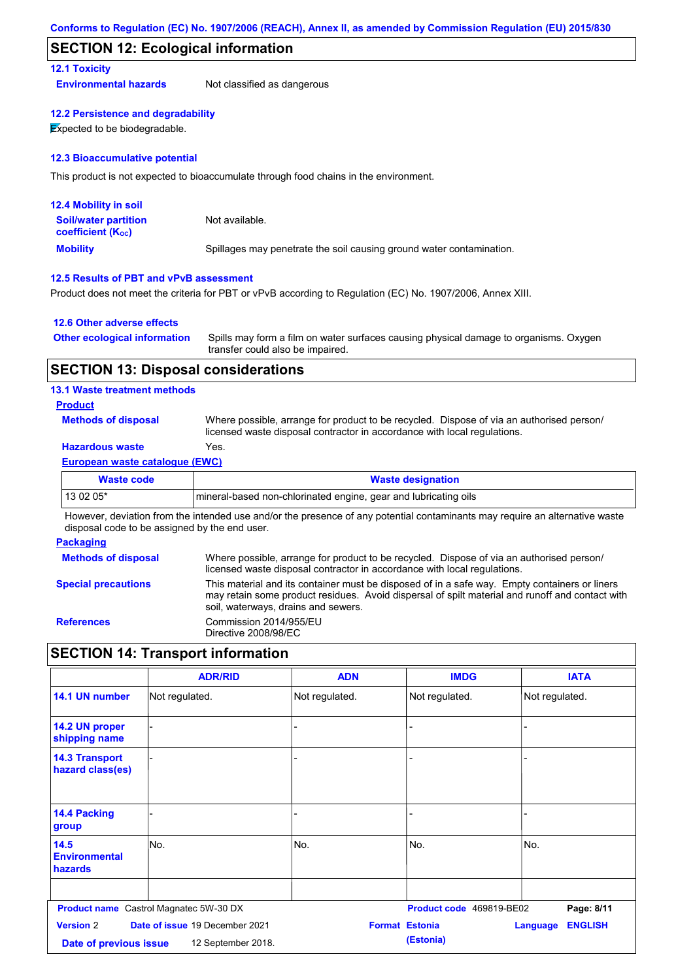### **SECTION 12: Ecological information**

### **12.1 Toxicity**

**Environmental hazards** Not classified as dangerous

### **12.2 Persistence and degradability**

**Expected to be biodegradable.** 

#### **12.3 Bioaccumulative potential**

This product is not expected to bioaccumulate through food chains in the environment.

| <b>12.4 Mobility in soil</b>                                  |                                                                      |
|---------------------------------------------------------------|----------------------------------------------------------------------|
| <b>Soil/water partition</b><br>coefficient (K <sub>oc</sub> ) | Not available.                                                       |
| <b>Mobility</b>                                               | Spillages may penetrate the soil causing ground water contamination. |

### **12.5 Results of PBT and vPvB assessment**

Product does not meet the criteria for PBT or vPvB according to Regulation (EC) No. 1907/2006, Annex XIII.

### **12.6 Other adverse effects**

| <b>Other ecological information</b> | Spills may form a film on water surfaces causing physical damage to organisms. Oxygen |
|-------------------------------------|---------------------------------------------------------------------------------------|
|                                     | transfer could also be impaired.                                                      |

### **SECTION 13: Disposal considerations**

### **13.1 Waste treatment methods**

### **Product**

**Methods of disposal**

Where possible, arrange for product to be recycled. Dispose of via an authorised person/ licensed waste disposal contractor in accordance with local regulations.

### **Hazardous waste** Yes.

### **European waste catalogue (EWC)**

| Waste code | <b>Waste designation</b>                                         |
|------------|------------------------------------------------------------------|
| 13 02 05*  | Imineral-based non-chlorinated engine, gear and lubricating oils |

However, deviation from the intended use and/or the presence of any potential contaminants may require an alternative waste disposal code to be assigned by the end user.

### **Packaging**

| <b>Methods of disposal</b> | Where possible, arrange for product to be recycled. Dispose of via an authorised person/<br>licensed waste disposal contractor in accordance with local regulations.                                                                    |
|----------------------------|-----------------------------------------------------------------------------------------------------------------------------------------------------------------------------------------------------------------------------------------|
| <b>Special precautions</b> | This material and its container must be disposed of in a safe way. Empty containers or liners<br>may retain some product residues. Avoid dispersal of spilt material and runoff and contact with<br>soil, waterways, drains and sewers. |
| <b>References</b>          | Commission 2014/955/EU<br>Directive 2008/98/EC                                                                                                                                                                                          |

# **SECTION 14: Transport information**

|                                           | <b>ADR/RID</b>                                | <b>ADN</b>            | <b>IMDG</b>              | <b>IATA</b>                       |
|-------------------------------------------|-----------------------------------------------|-----------------------|--------------------------|-----------------------------------|
| 14.1 UN number                            | Not regulated.                                | Not regulated.        | Not regulated.           | Not regulated.                    |
| 14.2 UN proper<br>shipping name           |                                               | -                     |                          |                                   |
| <b>14.3 Transport</b><br>hazard class(es) |                                               | -                     |                          |                                   |
| 14.4 Packing<br>group                     |                                               |                       |                          |                                   |
| 14.5<br><b>Environmental</b><br>hazards   | No.                                           | No.                   | No.                      | No.                               |
|                                           |                                               |                       |                          |                                   |
|                                           | <b>Product name</b> Castrol Magnatec 5W-30 DX |                       | Product code 469819-BE02 | Page: 8/11                        |
| <b>Version 2</b>                          | Date of issue 19 December 2021                | <b>Format Estonia</b> |                          | <b>ENGLISH</b><br><b>Language</b> |
| Date of previous issue                    | 12 September 2018.                            |                       | (Estonia)                |                                   |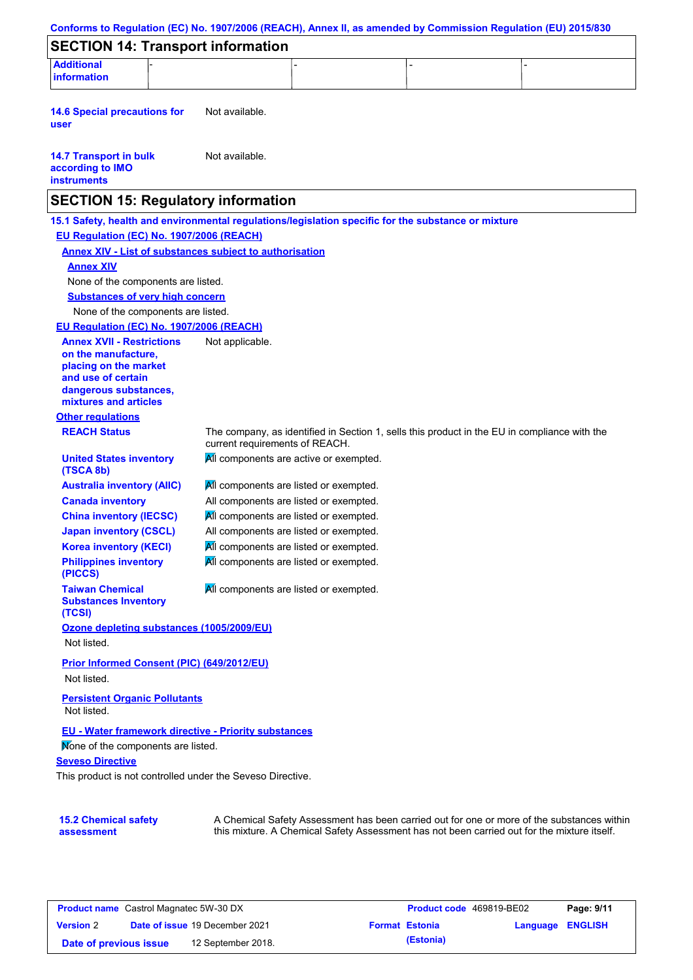| <b>SECTION 14: Transport information</b><br><b>Additional</b><br>Not available.<br>Not available.<br><b>SECTION 15: Regulatory information</b><br>15.1 Safety, health and environmental regulations/legislation specific for the substance or mixture<br>EU Regulation (EC) No. 1907/2006 (REACH)<br><b>Annex XIV - List of substances subject to authorisation</b><br><b>Annex XIV</b><br>None of the components are listed.<br><b>Substances of very high concern</b><br>None of the components are listed.<br>EU Regulation (EC) No. 1907/2006 (REACH)<br><b>Annex XVII - Restrictions</b><br>Not applicable.<br>on the manufacture,<br>placing on the market<br>and use of certain<br>dangerous substances,<br>mixtures and articles<br><b>Other regulations</b><br><b>REACH Status</b><br>The company, as identified in Section 1, sells this product in the EU in compliance with the<br>current requirements of REACH.<br>All components are active or exempted.<br><b>United States inventory</b><br>(TSCA 8b)<br>All components are listed or exempted.<br><b>Australia inventory (AIIC)</b><br><b>Canada inventory</b><br>All components are listed or exempted.<br><b>China inventory (IECSC)</b><br>All components are listed or exempted.<br><b>Japan inventory (CSCL)</b><br>All components are listed or exempted.<br>All components are listed or exempted.<br><b>Korea inventory (KECI)</b><br><b>Philippines inventory</b><br>All components are listed or exempted.<br>(PICCS)<br>All components are listed or exempted.<br><b>Taiwan Chemical</b><br><b>Substances Inventory</b><br>(TCSI)<br>Ozone depleting substances (1005/2009/EU)<br>Not listed.<br>Prior Informed Consent (PIC) (649/2012/EU)<br>Not listed.<br><b>Persistent Organic Pollutants</b><br>Not listed.<br>EU - Water framework directive - Priority substances<br>Mone of the components are listed.<br><b>Seveso Directive</b><br>This product is not controlled under the Seveso Directive.<br>A Chemical Safety Assessment has been carried out for one or more of the substances within | Conforms to Regulation (EC) No. 1907/2006 (REACH), Annex II, as amended by Commission Regulation (EU) 2015/830 |  |  |
|-------------------------------------------------------------------------------------------------------------------------------------------------------------------------------------------------------------------------------------------------------------------------------------------------------------------------------------------------------------------------------------------------------------------------------------------------------------------------------------------------------------------------------------------------------------------------------------------------------------------------------------------------------------------------------------------------------------------------------------------------------------------------------------------------------------------------------------------------------------------------------------------------------------------------------------------------------------------------------------------------------------------------------------------------------------------------------------------------------------------------------------------------------------------------------------------------------------------------------------------------------------------------------------------------------------------------------------------------------------------------------------------------------------------------------------------------------------------------------------------------------------------------------------------------------------------------------------------------------------------------------------------------------------------------------------------------------------------------------------------------------------------------------------------------------------------------------------------------------------------------------------------------------------------------------------------------------------------------------------------------------------------------------------------------------------------------------------|----------------------------------------------------------------------------------------------------------------|--|--|
|                                                                                                                                                                                                                                                                                                                                                                                                                                                                                                                                                                                                                                                                                                                                                                                                                                                                                                                                                                                                                                                                                                                                                                                                                                                                                                                                                                                                                                                                                                                                                                                                                                                                                                                                                                                                                                                                                                                                                                                                                                                                                     |                                                                                                                |  |  |
|                                                                                                                                                                                                                                                                                                                                                                                                                                                                                                                                                                                                                                                                                                                                                                                                                                                                                                                                                                                                                                                                                                                                                                                                                                                                                                                                                                                                                                                                                                                                                                                                                                                                                                                                                                                                                                                                                                                                                                                                                                                                                     | information                                                                                                    |  |  |
|                                                                                                                                                                                                                                                                                                                                                                                                                                                                                                                                                                                                                                                                                                                                                                                                                                                                                                                                                                                                                                                                                                                                                                                                                                                                                                                                                                                                                                                                                                                                                                                                                                                                                                                                                                                                                                                                                                                                                                                                                                                                                     | <b>14.6 Special precautions for</b><br>user                                                                    |  |  |
|                                                                                                                                                                                                                                                                                                                                                                                                                                                                                                                                                                                                                                                                                                                                                                                                                                                                                                                                                                                                                                                                                                                                                                                                                                                                                                                                                                                                                                                                                                                                                                                                                                                                                                                                                                                                                                                                                                                                                                                                                                                                                     | <b>14.7 Transport in bulk</b><br>according to IMO<br><b>instruments</b>                                        |  |  |
|                                                                                                                                                                                                                                                                                                                                                                                                                                                                                                                                                                                                                                                                                                                                                                                                                                                                                                                                                                                                                                                                                                                                                                                                                                                                                                                                                                                                                                                                                                                                                                                                                                                                                                                                                                                                                                                                                                                                                                                                                                                                                     |                                                                                                                |  |  |
|                                                                                                                                                                                                                                                                                                                                                                                                                                                                                                                                                                                                                                                                                                                                                                                                                                                                                                                                                                                                                                                                                                                                                                                                                                                                                                                                                                                                                                                                                                                                                                                                                                                                                                                                                                                                                                                                                                                                                                                                                                                                                     |                                                                                                                |  |  |
|                                                                                                                                                                                                                                                                                                                                                                                                                                                                                                                                                                                                                                                                                                                                                                                                                                                                                                                                                                                                                                                                                                                                                                                                                                                                                                                                                                                                                                                                                                                                                                                                                                                                                                                                                                                                                                                                                                                                                                                                                                                                                     |                                                                                                                |  |  |
|                                                                                                                                                                                                                                                                                                                                                                                                                                                                                                                                                                                                                                                                                                                                                                                                                                                                                                                                                                                                                                                                                                                                                                                                                                                                                                                                                                                                                                                                                                                                                                                                                                                                                                                                                                                                                                                                                                                                                                                                                                                                                     |                                                                                                                |  |  |
|                                                                                                                                                                                                                                                                                                                                                                                                                                                                                                                                                                                                                                                                                                                                                                                                                                                                                                                                                                                                                                                                                                                                                                                                                                                                                                                                                                                                                                                                                                                                                                                                                                                                                                                                                                                                                                                                                                                                                                                                                                                                                     |                                                                                                                |  |  |
|                                                                                                                                                                                                                                                                                                                                                                                                                                                                                                                                                                                                                                                                                                                                                                                                                                                                                                                                                                                                                                                                                                                                                                                                                                                                                                                                                                                                                                                                                                                                                                                                                                                                                                                                                                                                                                                                                                                                                                                                                                                                                     |                                                                                                                |  |  |
|                                                                                                                                                                                                                                                                                                                                                                                                                                                                                                                                                                                                                                                                                                                                                                                                                                                                                                                                                                                                                                                                                                                                                                                                                                                                                                                                                                                                                                                                                                                                                                                                                                                                                                                                                                                                                                                                                                                                                                                                                                                                                     |                                                                                                                |  |  |
|                                                                                                                                                                                                                                                                                                                                                                                                                                                                                                                                                                                                                                                                                                                                                                                                                                                                                                                                                                                                                                                                                                                                                                                                                                                                                                                                                                                                                                                                                                                                                                                                                                                                                                                                                                                                                                                                                                                                                                                                                                                                                     |                                                                                                                |  |  |
|                                                                                                                                                                                                                                                                                                                                                                                                                                                                                                                                                                                                                                                                                                                                                                                                                                                                                                                                                                                                                                                                                                                                                                                                                                                                                                                                                                                                                                                                                                                                                                                                                                                                                                                                                                                                                                                                                                                                                                                                                                                                                     |                                                                                                                |  |  |
|                                                                                                                                                                                                                                                                                                                                                                                                                                                                                                                                                                                                                                                                                                                                                                                                                                                                                                                                                                                                                                                                                                                                                                                                                                                                                                                                                                                                                                                                                                                                                                                                                                                                                                                                                                                                                                                                                                                                                                                                                                                                                     |                                                                                                                |  |  |
|                                                                                                                                                                                                                                                                                                                                                                                                                                                                                                                                                                                                                                                                                                                                                                                                                                                                                                                                                                                                                                                                                                                                                                                                                                                                                                                                                                                                                                                                                                                                                                                                                                                                                                                                                                                                                                                                                                                                                                                                                                                                                     |                                                                                                                |  |  |
|                                                                                                                                                                                                                                                                                                                                                                                                                                                                                                                                                                                                                                                                                                                                                                                                                                                                                                                                                                                                                                                                                                                                                                                                                                                                                                                                                                                                                                                                                                                                                                                                                                                                                                                                                                                                                                                                                                                                                                                                                                                                                     |                                                                                                                |  |  |
|                                                                                                                                                                                                                                                                                                                                                                                                                                                                                                                                                                                                                                                                                                                                                                                                                                                                                                                                                                                                                                                                                                                                                                                                                                                                                                                                                                                                                                                                                                                                                                                                                                                                                                                                                                                                                                                                                                                                                                                                                                                                                     |                                                                                                                |  |  |
|                                                                                                                                                                                                                                                                                                                                                                                                                                                                                                                                                                                                                                                                                                                                                                                                                                                                                                                                                                                                                                                                                                                                                                                                                                                                                                                                                                                                                                                                                                                                                                                                                                                                                                                                                                                                                                                                                                                                                                                                                                                                                     |                                                                                                                |  |  |
|                                                                                                                                                                                                                                                                                                                                                                                                                                                                                                                                                                                                                                                                                                                                                                                                                                                                                                                                                                                                                                                                                                                                                                                                                                                                                                                                                                                                                                                                                                                                                                                                                                                                                                                                                                                                                                                                                                                                                                                                                                                                                     |                                                                                                                |  |  |
|                                                                                                                                                                                                                                                                                                                                                                                                                                                                                                                                                                                                                                                                                                                                                                                                                                                                                                                                                                                                                                                                                                                                                                                                                                                                                                                                                                                                                                                                                                                                                                                                                                                                                                                                                                                                                                                                                                                                                                                                                                                                                     |                                                                                                                |  |  |
|                                                                                                                                                                                                                                                                                                                                                                                                                                                                                                                                                                                                                                                                                                                                                                                                                                                                                                                                                                                                                                                                                                                                                                                                                                                                                                                                                                                                                                                                                                                                                                                                                                                                                                                                                                                                                                                                                                                                                                                                                                                                                     |                                                                                                                |  |  |
|                                                                                                                                                                                                                                                                                                                                                                                                                                                                                                                                                                                                                                                                                                                                                                                                                                                                                                                                                                                                                                                                                                                                                                                                                                                                                                                                                                                                                                                                                                                                                                                                                                                                                                                                                                                                                                                                                                                                                                                                                                                                                     |                                                                                                                |  |  |
|                                                                                                                                                                                                                                                                                                                                                                                                                                                                                                                                                                                                                                                                                                                                                                                                                                                                                                                                                                                                                                                                                                                                                                                                                                                                                                                                                                                                                                                                                                                                                                                                                                                                                                                                                                                                                                                                                                                                                                                                                                                                                     |                                                                                                                |  |  |
|                                                                                                                                                                                                                                                                                                                                                                                                                                                                                                                                                                                                                                                                                                                                                                                                                                                                                                                                                                                                                                                                                                                                                                                                                                                                                                                                                                                                                                                                                                                                                                                                                                                                                                                                                                                                                                                                                                                                                                                                                                                                                     |                                                                                                                |  |  |
|                                                                                                                                                                                                                                                                                                                                                                                                                                                                                                                                                                                                                                                                                                                                                                                                                                                                                                                                                                                                                                                                                                                                                                                                                                                                                                                                                                                                                                                                                                                                                                                                                                                                                                                                                                                                                                                                                                                                                                                                                                                                                     |                                                                                                                |  |  |
|                                                                                                                                                                                                                                                                                                                                                                                                                                                                                                                                                                                                                                                                                                                                                                                                                                                                                                                                                                                                                                                                                                                                                                                                                                                                                                                                                                                                                                                                                                                                                                                                                                                                                                                                                                                                                                                                                                                                                                                                                                                                                     |                                                                                                                |  |  |
|                                                                                                                                                                                                                                                                                                                                                                                                                                                                                                                                                                                                                                                                                                                                                                                                                                                                                                                                                                                                                                                                                                                                                                                                                                                                                                                                                                                                                                                                                                                                                                                                                                                                                                                                                                                                                                                                                                                                                                                                                                                                                     |                                                                                                                |  |  |
|                                                                                                                                                                                                                                                                                                                                                                                                                                                                                                                                                                                                                                                                                                                                                                                                                                                                                                                                                                                                                                                                                                                                                                                                                                                                                                                                                                                                                                                                                                                                                                                                                                                                                                                                                                                                                                                                                                                                                                                                                                                                                     |                                                                                                                |  |  |
|                                                                                                                                                                                                                                                                                                                                                                                                                                                                                                                                                                                                                                                                                                                                                                                                                                                                                                                                                                                                                                                                                                                                                                                                                                                                                                                                                                                                                                                                                                                                                                                                                                                                                                                                                                                                                                                                                                                                                                                                                                                                                     |                                                                                                                |  |  |
|                                                                                                                                                                                                                                                                                                                                                                                                                                                                                                                                                                                                                                                                                                                                                                                                                                                                                                                                                                                                                                                                                                                                                                                                                                                                                                                                                                                                                                                                                                                                                                                                                                                                                                                                                                                                                                                                                                                                                                                                                                                                                     |                                                                                                                |  |  |
|                                                                                                                                                                                                                                                                                                                                                                                                                                                                                                                                                                                                                                                                                                                                                                                                                                                                                                                                                                                                                                                                                                                                                                                                                                                                                                                                                                                                                                                                                                                                                                                                                                                                                                                                                                                                                                                                                                                                                                                                                                                                                     |                                                                                                                |  |  |
|                                                                                                                                                                                                                                                                                                                                                                                                                                                                                                                                                                                                                                                                                                                                                                                                                                                                                                                                                                                                                                                                                                                                                                                                                                                                                                                                                                                                                                                                                                                                                                                                                                                                                                                                                                                                                                                                                                                                                                                                                                                                                     |                                                                                                                |  |  |
|                                                                                                                                                                                                                                                                                                                                                                                                                                                                                                                                                                                                                                                                                                                                                                                                                                                                                                                                                                                                                                                                                                                                                                                                                                                                                                                                                                                                                                                                                                                                                                                                                                                                                                                                                                                                                                                                                                                                                                                                                                                                                     |                                                                                                                |  |  |
|                                                                                                                                                                                                                                                                                                                                                                                                                                                                                                                                                                                                                                                                                                                                                                                                                                                                                                                                                                                                                                                                                                                                                                                                                                                                                                                                                                                                                                                                                                                                                                                                                                                                                                                                                                                                                                                                                                                                                                                                                                                                                     |                                                                                                                |  |  |
|                                                                                                                                                                                                                                                                                                                                                                                                                                                                                                                                                                                                                                                                                                                                                                                                                                                                                                                                                                                                                                                                                                                                                                                                                                                                                                                                                                                                                                                                                                                                                                                                                                                                                                                                                                                                                                                                                                                                                                                                                                                                                     | <b>15.2 Chemical safety</b>                                                                                    |  |  |

**Product name** Castrol Magnatec 5W-30 DX **Version** 2 **Product code** 469819-BE02 **Page: 9/11 Date of issue** 19 December 2021 **Format Estonia Language ENGLISH Date of previous issue (Estonia)** 12 September 2018.

this mixture. A Chemical Safety Assessment has not been carried out for the mixture itself.

**assessment**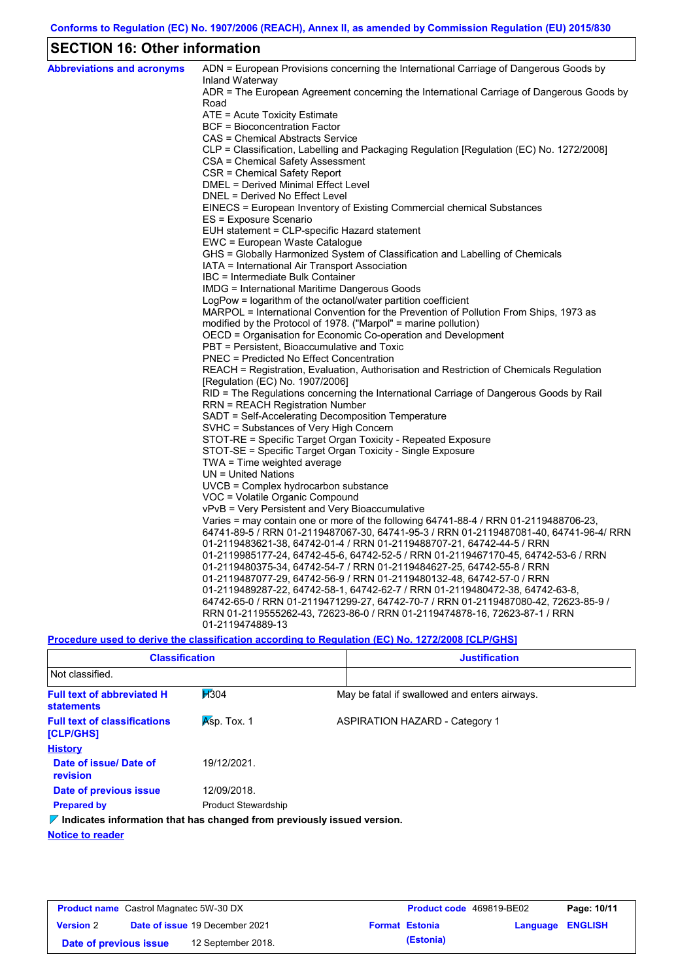# **SECTION 16: Other information**

| <b>Abbreviations and acronyms</b> | ADN = European Provisions concerning the International Carriage of Dangerous Goods by<br>Inland Waterway |
|-----------------------------------|----------------------------------------------------------------------------------------------------------|
|                                   | ADR = The European Agreement concerning the International Carriage of Dangerous Goods by<br>Road         |
|                                   | ATE = Acute Toxicity Estimate                                                                            |
|                                   | <b>BCF</b> = Bioconcentration Factor                                                                     |
|                                   | CAS = Chemical Abstracts Service                                                                         |
|                                   | CLP = Classification, Labelling and Packaging Regulation [Regulation (EC) No. 1272/2008]                 |
|                                   | CSA = Chemical Safety Assessment                                                                         |
|                                   | CSR = Chemical Safety Report                                                                             |
|                                   | <b>DMEL = Derived Minimal Effect Level</b>                                                               |
|                                   | DNEL = Derived No Effect Level                                                                           |
|                                   | EINECS = European Inventory of Existing Commercial chemical Substances                                   |
|                                   | ES = Exposure Scenario                                                                                   |
|                                   | EUH statement = CLP-specific Hazard statement                                                            |
|                                   | EWC = European Waste Catalogue                                                                           |
|                                   | GHS = Globally Harmonized System of Classification and Labelling of Chemicals                            |
|                                   | IATA = International Air Transport Association                                                           |
|                                   | IBC = Intermediate Bulk Container                                                                        |
|                                   | IMDG = International Maritime Dangerous Goods                                                            |
|                                   | LogPow = logarithm of the octanol/water partition coefficient                                            |
|                                   | MARPOL = International Convention for the Prevention of Pollution From Ships, 1973 as                    |
|                                   | modified by the Protocol of 1978. ("Marpol" = marine pollution)                                          |
|                                   | OECD = Organisation for Economic Co-operation and Development                                            |
|                                   | PBT = Persistent, Bioaccumulative and Toxic                                                              |
|                                   | <b>PNEC</b> = Predicted No Effect Concentration                                                          |
|                                   | REACH = Registration, Evaluation, Authorisation and Restriction of Chemicals Regulation                  |
|                                   | [Regulation (EC) No. 1907/2006]                                                                          |
|                                   | RID = The Regulations concerning the International Carriage of Dangerous Goods by Rail                   |
|                                   | <b>RRN = REACH Registration Number</b><br>SADT = Self-Accelerating Decomposition Temperature             |
|                                   | SVHC = Substances of Very High Concern                                                                   |
|                                   | STOT-RE = Specific Target Organ Toxicity - Repeated Exposure                                             |
|                                   | STOT-SE = Specific Target Organ Toxicity - Single Exposure                                               |
|                                   | TWA = Time weighted average                                                                              |
|                                   | $UN = United Nations$                                                                                    |
|                                   | $UVCB = Complex\;hydrocarbon\; substance$                                                                |
|                                   | VOC = Volatile Organic Compound                                                                          |
|                                   | vPvB = Very Persistent and Very Bioaccumulative                                                          |
|                                   | Varies = may contain one or more of the following $64741-88-4$ / RRN 01-2119488706-23,                   |
|                                   | 64741-89-5 / RRN 01-2119487067-30, 64741-95-3 / RRN 01-2119487081-40, 64741-96-4/ RRN                    |
|                                   | 01-2119483621-38, 64742-01-4 / RRN 01-2119488707-21, 64742-44-5 / RRN                                    |
|                                   | 01-2119985177-24, 64742-45-6, 64742-52-5 / RRN 01-2119467170-45, 64742-53-6 / RRN                        |
|                                   | 01-2119480375-34, 64742-54-7 / RRN 01-2119484627-25, 64742-55-8 / RRN                                    |
|                                   | 01-2119487077-29, 64742-56-9 / RRN 01-2119480132-48, 64742-57-0 / RRN                                    |
|                                   | 01-2119489287-22, 64742-58-1, 64742-62-7 / RRN 01-2119480472-38, 64742-63-8,                             |
|                                   | 64742-65-0 / RRN 01-2119471299-27, 64742-70-7 / RRN 01-2119487080-42, 72623-85-9 /                       |
|                                   | RRN 01-2119555262-43, 72623-86-0 / RRN 01-2119474878-16, 72623-87-1 / RRN                                |
|                                   | 01-2119474889-13                                                                                         |
|                                   |                                                                                                          |

**Procedure used to derive the classification according to Regulation (EC) No. 1272/2008 [CLP/GHS]**

| <b>Classification</b>                                                           |                            | <b>Justification</b> |                                               |  |
|---------------------------------------------------------------------------------|----------------------------|----------------------|-----------------------------------------------|--|
| Not classified.                                                                 |                            |                      |                                               |  |
| <b>Full text of abbreviated H</b><br><b>statements</b>                          | <b>H</b> 304               |                      | May be fatal if swallowed and enters airways. |  |
| <b>Full text of classifications</b><br>[CLP/GHS]                                | $Ksp.$ Tox. 1              |                      | <b>ASPIRATION HAZARD - Category 1</b>         |  |
| <b>History</b>                                                                  |                            |                      |                                               |  |
| Date of issue/Date of<br>revision                                               | 19/12/2021                 |                      |                                               |  |
| Date of previous issue                                                          | 12/09/2018.                |                      |                                               |  |
| <b>Prepared by</b>                                                              | <b>Product Stewardship</b> |                      |                                               |  |
| $\nabla$ Indicates information that has changed from previously issued version. |                            |                      |                                               |  |

**Notice to reader**

| <b>Product name</b> Castrol Magnatec 5W-30 DX |  |                                       | Product code 469819-BE02 |                       | Page: 10/11      |  |
|-----------------------------------------------|--|---------------------------------------|--------------------------|-----------------------|------------------|--|
| <b>Version 2</b>                              |  | <b>Date of issue 19 December 2021</b> |                          | <b>Format Estonia</b> | Language ENGLISH |  |
| Date of previous issue                        |  | 12 September 2018.                    |                          | (Estonia)             |                  |  |